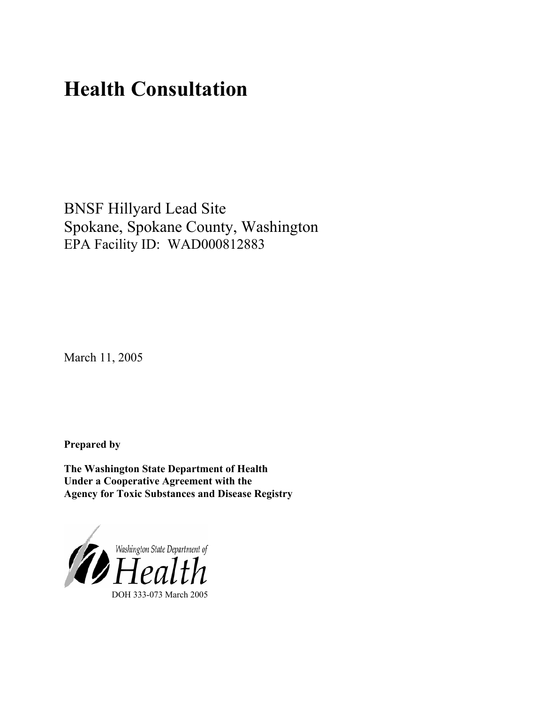# **Health Consultation**

BNSF Hillyard Lead Site Spokane, Spokane County, Washington EPA Facility ID: WAD000812883

March 11, 2005

**Prepared by** 

**The Washington State Department of Health Under a Cooperative Agreement with the Agency for Toxic Substances and Disease Registry**

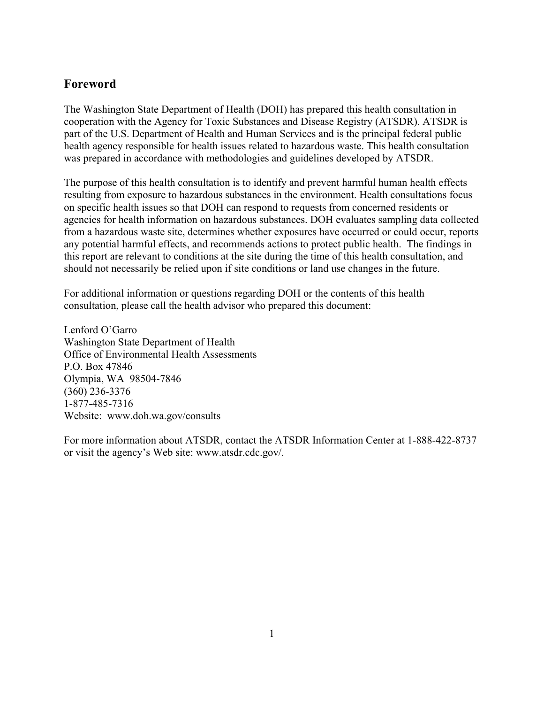## **Foreword**

The Washington State Department of Health (DOH) has prepared this health consultation in cooperation with the Agency for Toxic Substances and Disease Registry (ATSDR). ATSDR is part of the U.S. Department of Health and Human Services and is the principal federal public health agency responsible for health issues related to hazardous waste. This health consultation was prepared in accordance with methodologies and guidelines developed by ATSDR.

The purpose of this health consultation is to identify and prevent harmful human health effects resulting from exposure to hazardous substances in the environment. Health consultations focus on specific health issues so that DOH can respond to requests from concerned residents or agencies for health information on hazardous substances. DOH evaluates sampling data collected from a hazardous waste site, determines whether exposures have occurred or could occur, reports any potential harmful effects, and recommends actions to protect public health. The findings in this report are relevant to conditions at the site during the time of this health consultation, and should not necessarily be relied upon if site conditions or land use changes in the future.

For additional information or questions regarding DOH or the contents of this health consultation, please call the health advisor who prepared this document:

Lenford O'Garro Washington State Department of Health Office of Environmental Health Assessments P.O. Box 47846 Olympia, WA 98504-7846 (360) 236-3376 1-877-485-7316 Website: [www.doh.wa.gov/](http://www.doh.wa.gov/consults)consults

For more information about ATSDR, contact the ATSDR Information Center at 1-888-422-8737 or visit the agency's Web site: www.atsdr.cdc.gov/.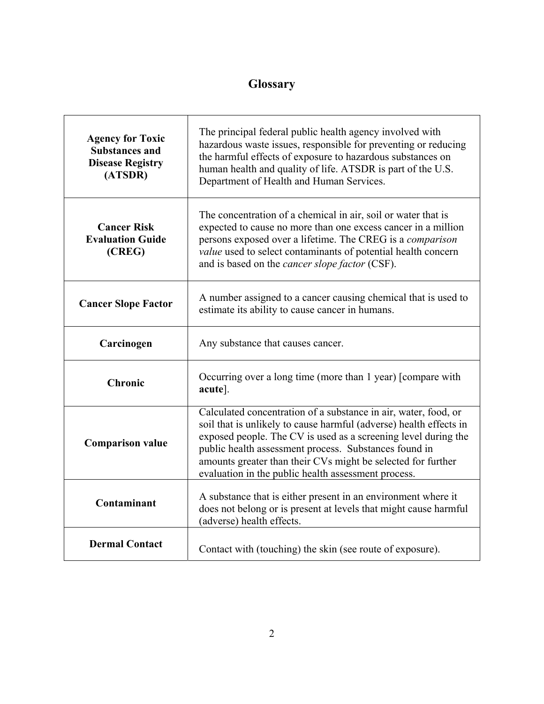## **Glossary**

| <b>Agency for Toxic</b><br><b>Substances and</b><br><b>Disease Registry</b><br>(ATSDR) | The principal federal public health agency involved with<br>hazardous waste issues, responsible for preventing or reducing<br>the harmful effects of exposure to hazardous substances on<br>human health and quality of life. ATSDR is part of the U.S.<br>Department of Health and Human Services.                                                                                     |
|----------------------------------------------------------------------------------------|-----------------------------------------------------------------------------------------------------------------------------------------------------------------------------------------------------------------------------------------------------------------------------------------------------------------------------------------------------------------------------------------|
| <b>Cancer Risk</b><br><b>Evaluation Guide</b><br>(CREG)                                | The concentration of a chemical in air, soil or water that is<br>expected to cause no more than one excess cancer in a million<br>persons exposed over a lifetime. The CREG is a comparison<br>value used to select contaminants of potential health concern<br>and is based on the <i>cancer slope factor</i> (CSF).                                                                   |
| <b>Cancer Slope Factor</b>                                                             | A number assigned to a cancer causing chemical that is used to<br>estimate its ability to cause cancer in humans.                                                                                                                                                                                                                                                                       |
| Carcinogen                                                                             | Any substance that causes cancer.                                                                                                                                                                                                                                                                                                                                                       |
| Chronic                                                                                | Occurring over a long time (more than 1 year) [compare with<br>acute].                                                                                                                                                                                                                                                                                                                  |
| <b>Comparison value</b>                                                                | Calculated concentration of a substance in air, water, food, or<br>soil that is unlikely to cause harmful (adverse) health effects in<br>exposed people. The CV is used as a screening level during the<br>public health assessment process. Substances found in<br>amounts greater than their CVs might be selected for further<br>evaluation in the public health assessment process. |
| Contaminant                                                                            | A substance that is either present in an environment where it<br>does not belong or is present at levels that might cause harmful<br>(adverse) health effects.                                                                                                                                                                                                                          |
| <b>Dermal Contact</b>                                                                  | Contact with (touching) the skin (see route of exposure).                                                                                                                                                                                                                                                                                                                               |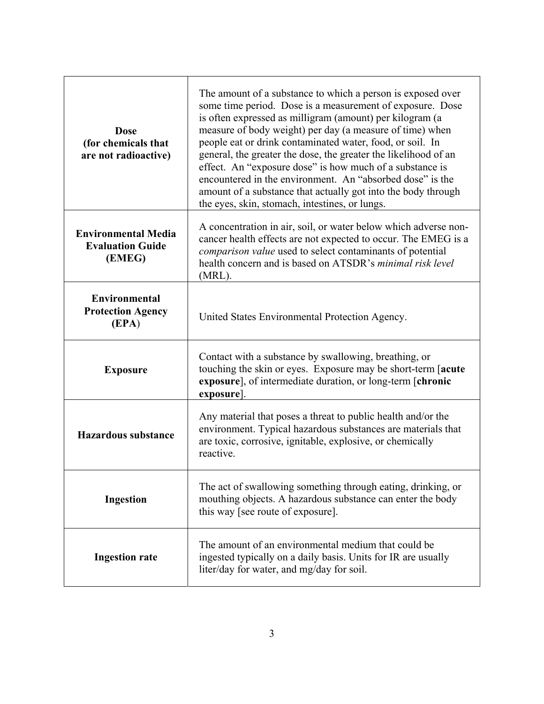| <b>Dose</b><br>(for chemicals that<br>are not radioactive)      | The amount of a substance to which a person is exposed over<br>some time period. Dose is a measurement of exposure. Dose<br>is often expressed as milligram (amount) per kilogram (a<br>measure of body weight) per day (a measure of time) when<br>people eat or drink contaminated water, food, or soil. In<br>general, the greater the dose, the greater the likelihood of an<br>effect. An "exposure dose" is how much of a substance is<br>encountered in the environment. An "absorbed dose" is the<br>amount of a substance that actually got into the body through<br>the eyes, skin, stomach, intestines, or lungs. |
|-----------------------------------------------------------------|------------------------------------------------------------------------------------------------------------------------------------------------------------------------------------------------------------------------------------------------------------------------------------------------------------------------------------------------------------------------------------------------------------------------------------------------------------------------------------------------------------------------------------------------------------------------------------------------------------------------------|
| <b>Environmental Media</b><br><b>Evaluation Guide</b><br>(EMEG) | A concentration in air, soil, or water below which adverse non-<br>cancer health effects are not expected to occur. The EMEG is a<br>comparison value used to select contaminants of potential<br>health concern and is based on ATSDR's minimal risk level<br>(MRL).                                                                                                                                                                                                                                                                                                                                                        |
| <b>Environmental</b><br><b>Protection Agency</b><br>(EPA)       | United States Environmental Protection Agency.                                                                                                                                                                                                                                                                                                                                                                                                                                                                                                                                                                               |
| <b>Exposure</b>                                                 | Contact with a substance by swallowing, breathing, or<br>touching the skin or eyes. Exposure may be short-term [acute]<br>exposure], of intermediate duration, or long-term [chronic<br>exposure].                                                                                                                                                                                                                                                                                                                                                                                                                           |
| <b>Hazardous substance</b>                                      | Any material that poses a threat to public health and/or the<br>environment. Typical hazardous substances are materials that<br>are toxic, corrosive, ignitable, explosive, or chemically<br>reactive.                                                                                                                                                                                                                                                                                                                                                                                                                       |
| <b>Ingestion</b>                                                | The act of swallowing something through eating, drinking, or<br>mouthing objects. A hazardous substance can enter the body<br>this way [see route of exposure].                                                                                                                                                                                                                                                                                                                                                                                                                                                              |
| <b>Ingestion rate</b>                                           | The amount of an environmental medium that could be<br>ingested typically on a daily basis. Units for IR are usually<br>liter/day for water, and mg/day for soil.                                                                                                                                                                                                                                                                                                                                                                                                                                                            |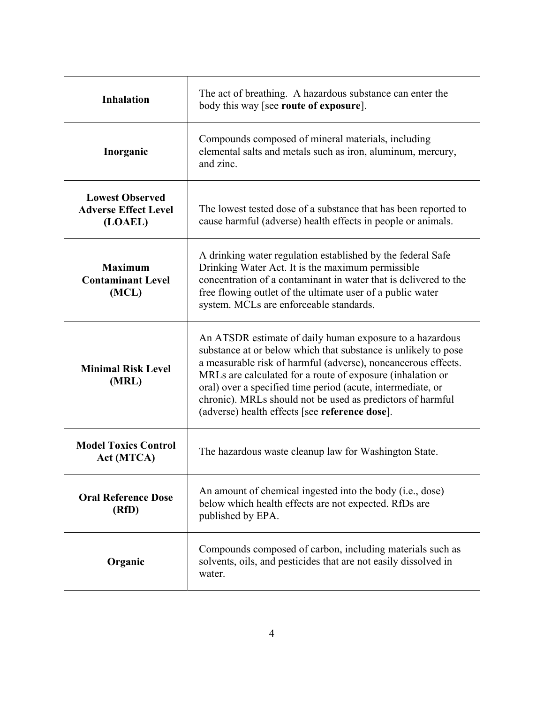| <b>Inhalation</b>                                                | The act of breathing. A hazardous substance can enter the<br>body this way [see route of exposure].                                                                                                                                                                                                                                                                                                                                      |
|------------------------------------------------------------------|------------------------------------------------------------------------------------------------------------------------------------------------------------------------------------------------------------------------------------------------------------------------------------------------------------------------------------------------------------------------------------------------------------------------------------------|
| Inorganic                                                        | Compounds composed of mineral materials, including<br>elemental salts and metals such as iron, aluminum, mercury,<br>and zinc.                                                                                                                                                                                                                                                                                                           |
| <b>Lowest Observed</b><br><b>Adverse Effect Level</b><br>(LOAEL) | The lowest tested dose of a substance that has been reported to<br>cause harmful (adverse) health effects in people or animals.                                                                                                                                                                                                                                                                                                          |
| <b>Maximum</b><br><b>Contaminant Level</b><br>(MCL)              | A drinking water regulation established by the federal Safe<br>Drinking Water Act. It is the maximum permissible<br>concentration of a contaminant in water that is delivered to the<br>free flowing outlet of the ultimate user of a public water<br>system. MCLs are enforceable standards.                                                                                                                                            |
| <b>Minimal Risk Level</b><br>(MRL)                               | An ATSDR estimate of daily human exposure to a hazardous<br>substance at or below which that substance is unlikely to pose<br>a measurable risk of harmful (adverse), noncancerous effects.<br>MRLs are calculated for a route of exposure (inhalation or<br>oral) over a specified time period (acute, intermediate, or<br>chronic). MRLs should not be used as predictors of harmful<br>(adverse) health effects [see reference dose]. |
| <b>Model Toxics Control</b><br>Act (MTCA)                        | The hazardous waste cleanup law for Washington State.                                                                                                                                                                                                                                                                                                                                                                                    |
| <b>Oral Reference Dose</b><br>(RfD)                              | An amount of chemical ingested into the body (i.e., dose)<br>below which health effects are not expected. RfDs are<br>published by EPA.                                                                                                                                                                                                                                                                                                  |
| Organic                                                          | Compounds composed of carbon, including materials such as<br>solvents, oils, and pesticides that are not easily dissolved in<br>water.                                                                                                                                                                                                                                                                                                   |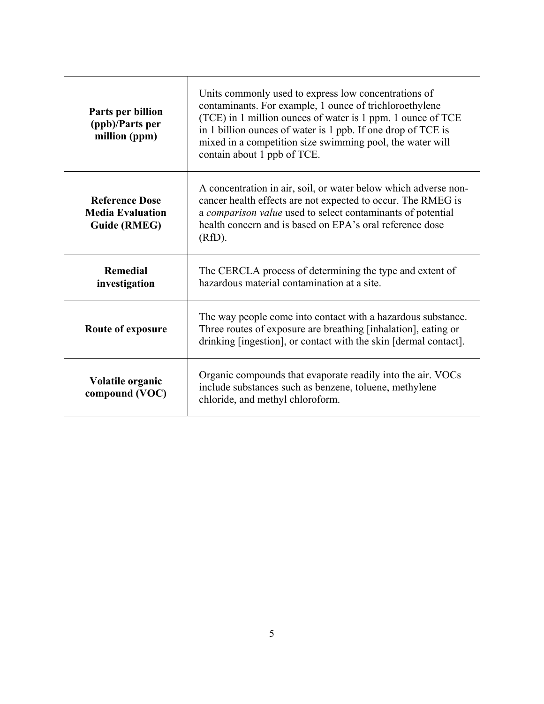| Parts per billion<br>(ppb)/Parts per<br>million (ppm)                   | Units commonly used to express low concentrations of<br>contaminants. For example, 1 ounce of trichloroethylene<br>(TCE) in 1 million ounces of water is 1 ppm. 1 ounce of TCE<br>in 1 billion ounces of water is 1 ppb. If one drop of TCE is<br>mixed in a competition size swimming pool, the water will<br>contain about 1 ppb of TCE. |
|-------------------------------------------------------------------------|--------------------------------------------------------------------------------------------------------------------------------------------------------------------------------------------------------------------------------------------------------------------------------------------------------------------------------------------|
| <b>Reference Dose</b><br><b>Media Evaluation</b><br><b>Guide (RMEG)</b> | A concentration in air, soil, or water below which adverse non-<br>cancer health effects are not expected to occur. The RMEG is<br>a comparison value used to select contaminants of potential<br>health concern and is based on EPA's oral reference dose<br>(RfD).                                                                       |
| <b>Remedial</b><br>investigation                                        | The CERCLA process of determining the type and extent of<br>hazardous material contamination at a site.                                                                                                                                                                                                                                    |
| Route of exposure                                                       | The way people come into contact with a hazardous substance.<br>Three routes of exposure are breathing [inhalation], eating or<br>drinking [ingestion], or contact with the skin [dermal contact].                                                                                                                                         |
| Volatile organic<br>compound (VOC)                                      | Organic compounds that evaporate readily into the air. VOCs<br>include substances such as benzene, toluene, methylene<br>chloride, and methyl chloroform.                                                                                                                                                                                  |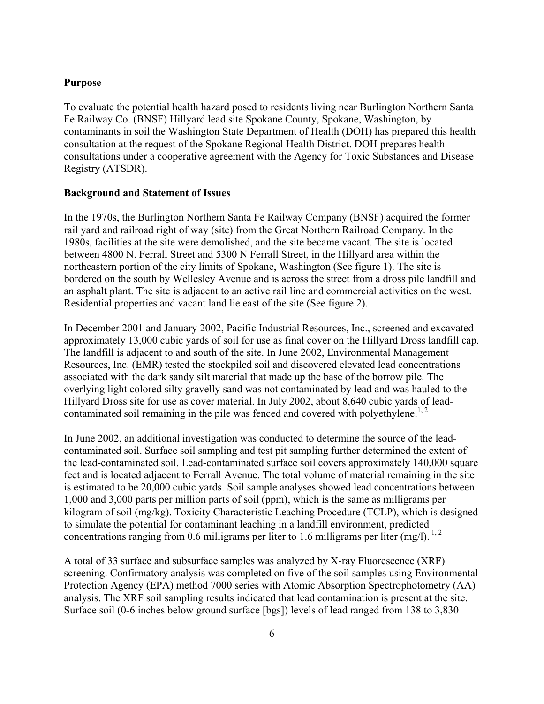#### **Purpose**

To evaluate the potential health hazard posed to residents living near Burlington Northern Santa Fe Railway Co. (BNSF) Hillyard lead site Spokane County, Spokane, Washington, by contaminants in soil the Washington State Department of Health (DOH) has prepared this health consultation at the request of the Spokane Regional Health District. DOH prepares health consultations under a cooperative agreement with the Agency for Toxic Substances and Disease Registry (ATSDR).

#### **Background and Statement of Issues**

In the 1970s, the Burlington Northern Santa Fe Railway Company (BNSF) acquired the former rail yard and railroad right of way (site) from the Great Northern Railroad Company. In the 1980s, facilities at the site were demolished, and the site became vacant. The site is located between 4800 N. Ferrall Street and 5300 N Ferrall Street, in the Hillyard area within the northeastern portion of the city limits of Spokane, Washington (See figure 1). The site is bordered on the south by Wellesley Avenue and is across the street from a dross pile landfill and an asphalt plant. The site is adjacent to an active rail line and commercial activities on the west. Residential properties and vacant land lie east of the site (See figure 2).

In December 2001 and January 2002, Pacific Industrial Resources, Inc., screened and excavated approximately 13,000 cubic yards of soil for use as final cover on the Hillyard Dross landfill cap. The landfill is adjacent to and south of the site. In June 2002, Environmental Management Resources, Inc. (EMR) tested the stockpiled soil and discovered elevated lead concentrations associated with the dark sandy silt material that made up the base of the borrow pile. The overlying light colored silty gravelly sand was not contaminated by lead and was hauled to the Hillyard Dross site for use as cover material. In July 2002, about 8,640 cubic yards of leadcontaminated soil remaining in the pile was fenced and covered with polyethylene.<sup>1, 2</sup>

In June 2002, an additional investigation was conducted to determine the source of the leadcontaminated soil. Surface soil sampling and test pit sampling further determined the extent of the lead-contaminated soil. Lead-contaminated surface soil covers approximately 140,000 square feet and is located adjacent to Ferrall Avenue. The total volume of material remaining in the site is estimated to be 20,000 cubic yards. Soil sample analyses showed lead concentrations between 1,000 and 3,000 parts per million parts of soil (ppm), which is the same as milligrams per kilogram of soil (mg/kg). Toxicity Characteristic Leaching Procedure (TCLP), which is designed to simulate the potential for contaminant leaching in a landfill environment, predicted concentrations ranging from 0.6 milligrams per liter to 1.6 milligrams per liter (mg/l).<sup>1,2</sup>

A total of 33 surface and subsurface samples was analyzed by X-ray Fluorescence (XRF) screening. Confirmatory analysis was completed on five of the soil samples using Environmental Protection Agency (EPA) method 7000 series with Atomic Absorption Spectrophotometry (AA) analysis. The XRF soil sampling results indicated that lead contamination is present at the site. Surface soil (0-6 inches below ground surface [bgs]) levels of lead ranged from 138 to 3,830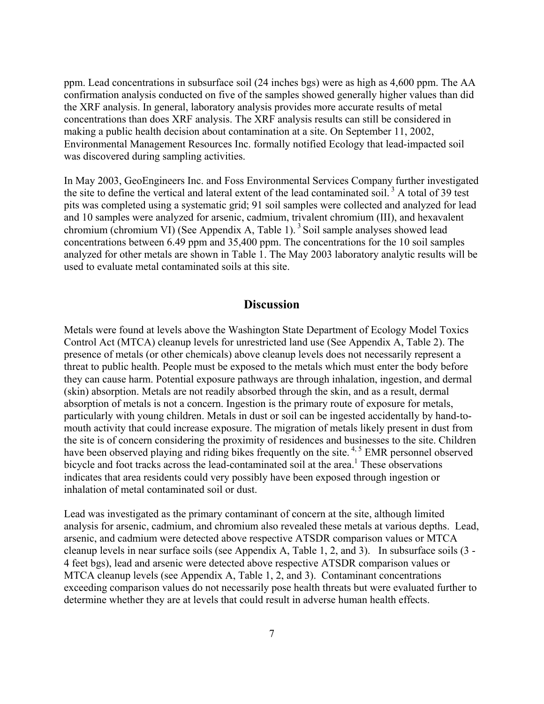ppm. Lead concentrations in subsurface soil (24 inches bgs) were as high as 4,600 ppm. The AA confirmation analysis conducted on five of the samples showed generally higher values than did the XRF analysis. In general, laboratory analysis provides more accurate results of metal concentrations than does XRF analysis. The XRF analysis results can still be considered in making a public health decision about contamination at a site. On September 11, 2002, Environmental Management Resources Inc. formally notified Ecology that lead-impacted soil was discovered during sampling activities.

In May 2003, GeoEngineers Inc. and Foss Environmental Services Company further investigated the site to define the vertical and lateral extent of the lead contaminated soil.<sup>3</sup> A total of 39 test pits was completed using a systematic grid; 91 soil samples were collected and analyzed for lead and 10 samples were analyzed for arsenic, cadmium, trivalent chromium (III), and hexavalent chromium (chromium VI) (See Appendix A, Table 1).<sup>3</sup> Soil sample analyses showed lead concentrations between 6.49 ppm and 35,400 ppm. The concentrations for the 10 soil samples analyzed for other metals are shown in Table 1. The May 2003 laboratory analytic results will be used to evaluate metal contaminated soils at this site.

### **Discussion**

Metals were found at levels above the Washington State Department of Ecology Model Toxics Control Act (MTCA) cleanup levels for unrestricted land use (See Appendix A, Table 2). The presence of metals (or other chemicals) above cleanup levels does not necessarily represent a threat to public health. People must be exposed to the metals which must enter the body before they can cause harm. Potential exposure pathways are through inhalation, ingestion, and dermal (skin) absorption. Metals are not readily absorbed through the skin, and as a result, dermal absorption of metals is not a concern. Ingestion is the primary route of exposure for metals, particularly with young children. Metals in dust or soil can be ingested accidentally by hand-tomouth activity that could increase exposure. The migration of metals likely present in dust from the site is of concern considering the proximity of residences and businesses to the site. Children have been observed playing and riding bikes frequently on the site.<sup>4, 5</sup> EMR personnel observed bicycle and foot tracks across the lead-contaminated soil at the area.<sup>1</sup> These observations indicates that area residents could very possibly have been exposed through ingestion or inhalation of metal contaminated soil or dust.

Lead was investigated as the primary contaminant of concern at the site, although limited analysis for arsenic, cadmium, and chromium also revealed these metals at various depths. Lead, arsenic, and cadmium were detected above respective ATSDR comparison values or MTCA cleanup levels in near surface soils (see Appendix A, Table 1, 2, and 3). In subsurface soils (3 - 4 feet bgs), lead and arsenic were detected above respective ATSDR comparison values or MTCA cleanup levels (see Appendix A, Table 1, 2, and 3). Contaminant concentrations exceeding comparison values do not necessarily pose health threats but were evaluated further to determine whether they are at levels that could result in adverse human health effects.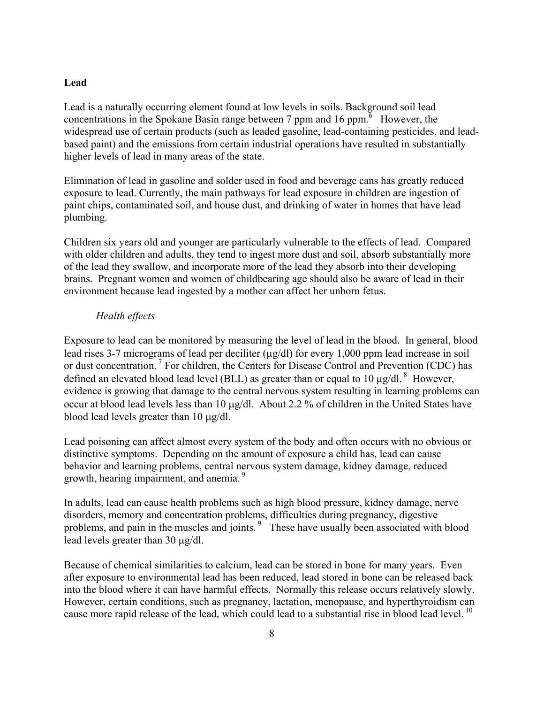#### **Lead**

Lead is a naturally occurring element found at low levels in soils. Background soil lead concentrations in the Spokane Basin range between 7 ppm and 16 ppm. <sup>6</sup> However, the widespread use of certain products (such as leaded gasoline, lead-containing pesticides, and leadbased paint) and the emissions from certain industrial operations have resulted in substantially higher levels of lead in many areas of the state.

Elimination of lead in gasoline and solder used in food and beverage cans has greatly reduced exposure to lead. Currently, the main pathways for lead exposure in children are ingestion of paint chips, contaminated soil, and house dust, and drinking of water in homes that have lead plumbing.

Children six years old and younger are particularly vulnerable to the effects of lead. Compared with older children and adults, they tend to ingest more dust and soil, absorb substantially more of the lead they swallow, and incorporate more of the lead they absorb into their developing brains. Pregnant women and women of childbearing age should also be aware of lead in their environment because lead ingested by a mother can affect her unborn fetus.

#### *Health effects*

Exposure to lead can be monitored by measuring the level of lead in the blood. In general, blood lead rises 3-7 micrograms of lead per deciliter ( $\mu$ g/dl) for every 1,000 ppm lead increase in soil or dust concentration.<sup>7</sup> For children, the Centers for Disease Control and Prevention (CDC) has defined an elevated blood lead level (BLL) as greater than or equal to 10  $\mu$ g/dl. <sup>8</sup> However, evidence is growing that damage to the central nervous system resulting in learning problems can occur at blood lead levels less than 10 µg/dl. About 2.2 % of children in the United States have blood lead levels greater than 10 µg/dl.

Lead poisoning can affect almost every system of the body and often occurs with no obvious or distinctive symptoms. Depending on the amount of exposure a child has, lead can cause behavior and learning problems, central nervous system damage, kidney damage, reduced growth, hearing impairment, and anemia.<sup>9</sup>

In adults, lead can cause health problems such as high blood pressure, kidney damage, nerve disorders, memory and concentration problems, difficulties during pregnancy, digestive problems, and pain in the muscles and joints.<sup>9</sup> These have usually been associated with blood lead levels greater than 30 µg/dl.

Because of chemical similarities to calcium, lead can be stored in bone for many years. Even after exposure to environmental lead has been reduced, lead stored in bone can be released back into the blood where it can have harmful effects. Normally this release occurs relatively slowly. However, certain conditions, such as pregnancy, lactation, menopause, and hyperthyroidism can cause more rapid release of the lead, which could lead to a substantial rise in blood lead level.<sup>10</sup>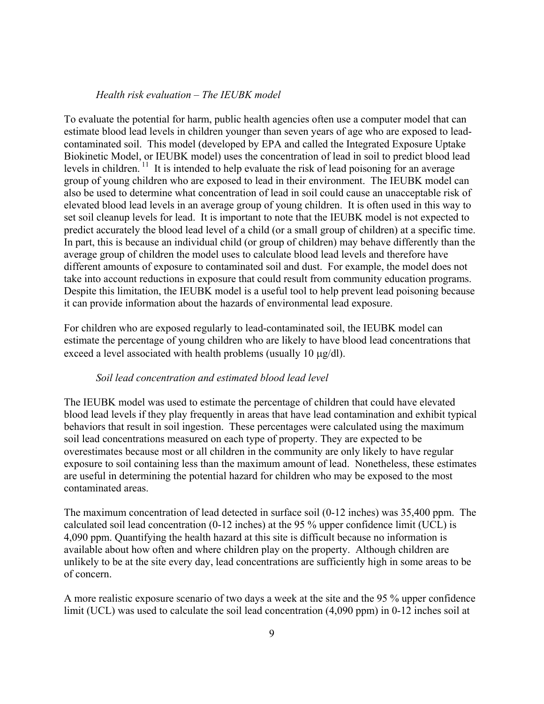#### *Health risk evaluation – The IEUBK model*

To evaluate the potential for harm, public health agencies often use a computer model that can estimate blood lead levels in children younger than seven years of age who are exposed to leadcontaminated soil. This model (developed by EPA and called the Integrated Exposure Uptake Biokinetic Model, or IEUBK model) uses the concentration of lead in soil to predict blood lead levels in children.  $\frac{11}{11}$  It is intended to help evaluate the risk of lead poisoning for an average group of young children who are exposed to lead in their environment. The IEUBK model can also be used to determine what concentration of lead in soil could cause an unacceptable risk of elevated blood lead levels in an average group of young children. It is often used in this way to set soil cleanup levels for lead. It is important to note that the IEUBK model is not expected to predict accurately the blood lead level of a child (or a small group of children) at a specific time. In part, this is because an individual child (or group of children) may behave differently than the average group of children the model uses to calculate blood lead levels and therefore have different amounts of exposure to contaminated soil and dust. For example, the model does not take into account reductions in exposure that could result from community education programs. Despite this limitation, the IEUBK model is a useful tool to help prevent lead poisoning because it can provide information about the hazards of environmental lead exposure.

For children who are exposed regularly to lead-contaminated soil, the IEUBK model can estimate the percentage of young children who are likely to have blood lead concentrations that exceed a level associated with health problems (usually 10  $\mu$ g/dl).

#### *Soil lead concentration and estimated blood lead level*

The IEUBK model was used to estimate the percentage of children that could have elevated blood lead levels if they play frequently in areas that have lead contamination and exhibit typical behaviors that result in soil ingestion. These percentages were calculated using the maximum soil lead concentrations measured on each type of property. They are expected to be overestimates because most or all children in the community are only likely to have regular exposure to soil containing less than the maximum amount of lead. Nonetheless, these estimates are useful in determining the potential hazard for children who may be exposed to the most contaminated areas.

The maximum concentration of lead detected in surface soil (0-12 inches) was 35,400 ppm. The calculated soil lead concentration  $(0-12$  inches) at the 95 % upper confidence limit (UCL) is 4,090 ppm. Quantifying the health hazard at this site is difficult because no information is available about how often and where children play on the property. Although children are unlikely to be at the site every day, lead concentrations are sufficiently high in some areas to be of concern.

A more realistic exposure scenario of two days a week at the site and the 95 % upper confidence limit (UCL) was used to calculate the soil lead concentration (4,090 ppm) in 0-12 inches soil at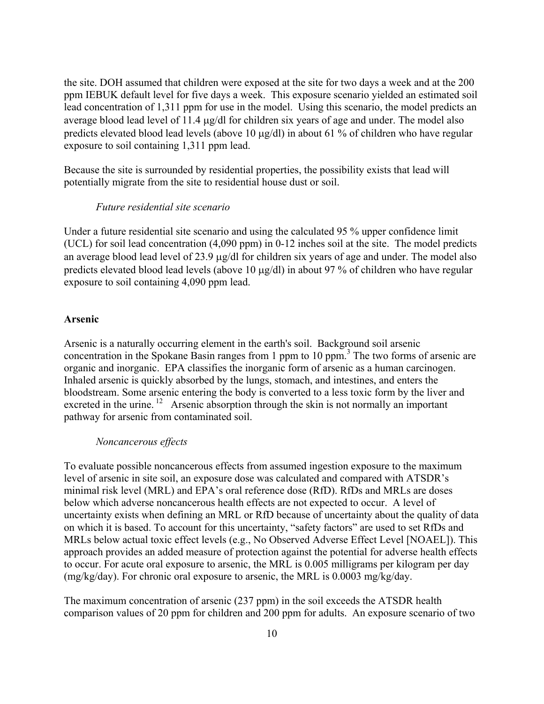the site. DOH assumed that children were exposed at the site for two days a week and at the 200 ppm IEBUK default level for five days a week. This exposure scenario yielded an estimated soil lead concentration of 1,311 ppm for use in the model. Using this scenario, the model predicts an average blood lead level of 11.4 µg/dl for children six years of age and under. The model also predicts elevated blood lead levels (above 10 µg/dl) in about 61 % of children who have regular exposure to soil containing 1,311 ppm lead.

Because the site is surrounded by residential properties, the possibility exists that lead will potentially migrate from the site to residential house dust or soil.

#### *Future residential site scenario*

Under a future residential site scenario and using the calculated 95 % upper confidence limit (UCL) for soil lead concentration (4,090 ppm) in 0-12 inches soil at the site. The model predicts an average blood lead level of 23.9 µg/dl for children six years of age and under. The model also predicts elevated blood lead levels (above 10 µg/dl) in about 97 % of children who have regular exposure to soil containing 4,090 ppm lead.

#### **Arsenic**

Arsenic is a naturally occurring element in the earth's soil. Background soil arsenic concentration in the Spokane Basin ranges from 1 ppm to 10 ppm.<sup>3</sup> The two forms of arsenic are organic and inorganic. EPA classifies the inorganic form of arsenic as a human carcinogen. Inhaled arsenic is quickly absorbed by the lungs, stomach, and intestines, and enters the bloodstream. Some arsenic entering the body is converted to a less toxic form by the liver and excreted in the urine. <sup>12</sup> Arsenic absorption through the skin is not normally an important pathway for arsenic from contaminated soil.

#### *Noncancerous effects*

To evaluate possible noncancerous effects from assumed ingestion exposure to the maximum level of arsenic in site soil, an exposure dose was calculated and compared with ATSDR's minimal risk level (MRL) and EPA's oral reference dose (RfD). RfDs and MRLs are doses below which adverse noncancerous health effects are not expected to occur. A level of uncertainty exists when defining an MRL or RfD because of uncertainty about the quality of data on which it is based. To account for this uncertainty, "safety factors" are used to set RfDs and MRLs below actual toxic effect levels (e.g., No Observed Adverse Effect Level [NOAEL]). This approach provides an added measure of protection against the potential for adverse health effects to occur. For acute oral exposure to arsenic, the MRL is 0.005 milligrams per kilogram per day  $(mg/kg/day)$ . For chronic oral exposure to arsenic, the MRL is 0.0003 mg/kg/day.

The maximum concentration of arsenic (237 ppm) in the soil exceeds the ATSDR health comparison values of 20 ppm for children and 200 ppm for adults. An exposure scenario of two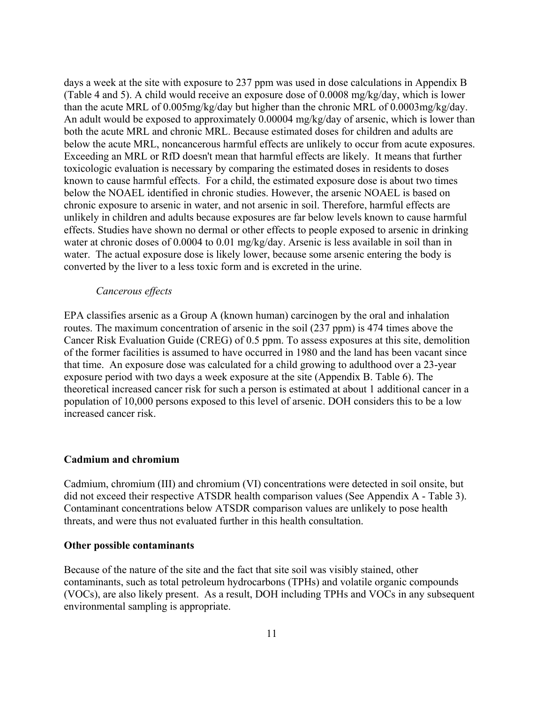days a week at the site with exposure to 237 ppm was used in dose calculations in Appendix B (Table 4 and 5). A child would receive an exposure dose of 0.0008 mg/kg/day, which is lower than the acute MRL of 0.005mg/kg/day but higher than the chronic MRL of 0.0003mg/kg/day. An adult would be exposed to approximately 0.00004 mg/kg/day of arsenic, which is lower than both the acute MRL and chronic MRL. Because estimated doses for children and adults are below the acute MRL, noncancerous harmful effects are unlikely to occur from acute exposures. Exceeding an MRL or RfD doesn't mean that harmful effects are likely. It means that further toxicologic evaluation is necessary by comparing the estimated doses in residents to doses known to cause harmful effects. For a child, the estimated exposure dose is about two times below the NOAEL identified in chronic studies. However, the arsenic NOAEL is based on chronic exposure to arsenic in water, and not arsenic in soil. Therefore, harmful effects are unlikely in children and adults because exposures are far below levels known to cause harmful effects. Studies have shown no dermal or other effects to people exposed to arsenic in drinking water at chronic doses of 0.0004 to 0.01 mg/kg/day. Arsenic is less available in soil than in water. The actual exposure dose is likely lower, because some arsenic entering the body is converted by the liver to a less toxic form and is excreted in the urine.

#### *Cancerous effects*

EPA classifies arsenic as a Group A (known human) carcinogen by the oral and inhalation routes. The maximum concentration of arsenic in the soil (237 ppm) is 474 times above the Cancer Risk Evaluation Guide (CREG) of 0.5 ppm. To assess exposures at this site, demolition of the former facilities is assumed to have occurred in 1980 and the land has been vacant since that time. An exposure dose was calculated for a child growing to adulthood over a 23-year exposure period with two days a week exposure at the site (Appendix B. Table 6). The theoretical increased cancer risk for such a person is estimated at about 1 additional cancer in a population of 10,000 persons exposed to this level of arsenic. DOH considers this to be a low increased cancer risk.

#### **Cadmium and chromium**

Cadmium, chromium (III) and chromium (VI) concentrations were detected in soil onsite, but did not exceed their respective ATSDR health comparison values (See Appendix A - Table 3). Contaminant concentrations below ATSDR comparison values are unlikely to pose health threats, and were thus not evaluated further in this health consultation.

#### **Other possible contaminants**

Because of the nature of the site and the fact that site soil was visibly stained, other contaminants, such as total petroleum hydrocarbons (TPHs) and volatile organic compounds (VOCs), are also likely present. As a result, DOH including TPHs and VOCs in any subsequent environmental sampling is appropriate.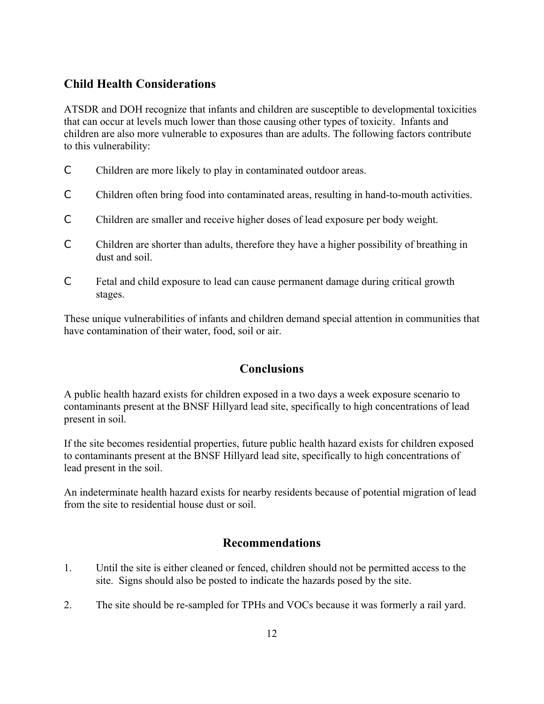## **Child Health Considerations**

ATSDR and DOH recognize that infants and children are susceptible to developmental toxicities that can occur at levels much lower than those causing other types of toxicity. Infants and children are also more vulnerable to exposures than are adults. The following factors contribute to this vulnerability:

- C Children are more likely to play in contaminated outdoor areas.
- C Children often bring food into contaminated areas, resulting in hand-to-mouth activities.
- C Children are smaller and receive higher doses of lead exposure per body weight.
- C Children are shorter than adults, therefore they have a higher possibility of breathing in dust and soil.
- C Fetal and child exposure to lead can cause permanent damage during critical growth stages.

These unique vulnerabilities of infants and children demand special attention in communities that have contamination of their water, food, soil or air.

## **Conclusions**

A public health hazard exists for children exposed in a two days a week exposure scenario to contaminants present at the BNSF Hillyard lead site, specifically to high concentrations of lead present in soil.

If the site becomes residential properties, future public health hazard exists for children exposed to contaminants present at the BNSF Hillyard lead site, specifically to high concentrations of lead present in the soil.

An indeterminate health hazard exists for nearby residents because of potential migration of lead from the site to residential house dust or soil.

## **Recommendations**

- 1. Until the site is either cleaned or fenced, children should not be permitted access to the site. Signs should also be posted to indicate the hazards posed by the site.
- 2. The site should be re-sampled for TPHs and VOCs because it was formerly a rail yard.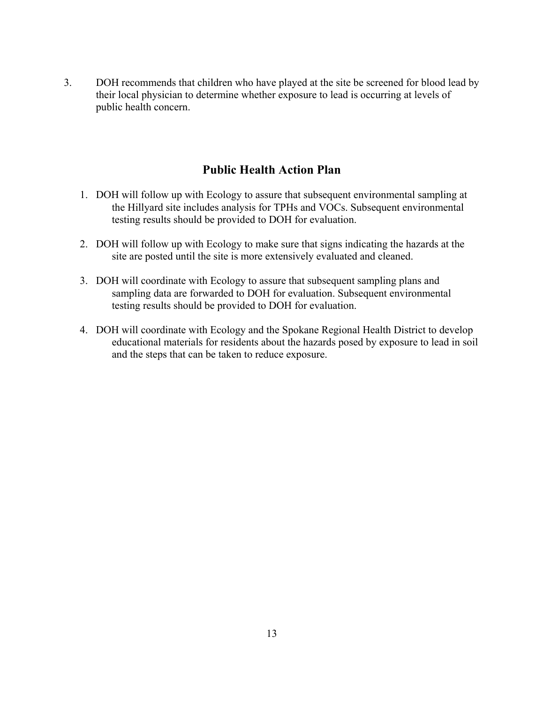3. DOH recommends that children who have played at the site be screened for blood lead by their local physician to determine whether exposure to lead is occurring at levels of public health concern.

## **Public Health Action Plan**

- 1. DOH will follow up with Ecology to assure that subsequent environmental sampling at the Hillyard site includes analysis for TPHs and VOCs. Subsequent environmental testing results should be provided to DOH for evaluation.
- 2. DOH will follow up with Ecology to make sure that signs indicating the hazards at the site are posted until the site is more extensively evaluated and cleaned.
- 3. DOH will coordinate with Ecology to assure that subsequent sampling plans and sampling data are forwarded to DOH for evaluation. Subsequent environmental testing results should be provided to DOH for evaluation.
- 4. DOH will coordinate with Ecology and the Spokane Regional Health District to develop educational materials for residents about the hazards posed by exposure to lead in soil and the steps that can be taken to reduce exposure.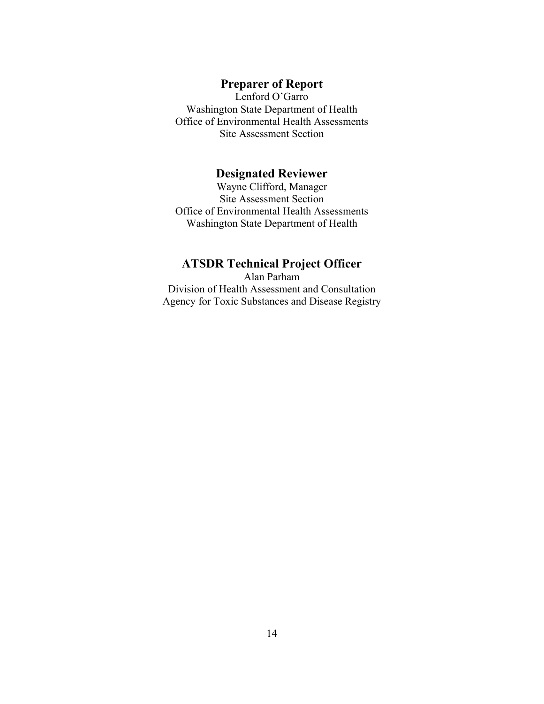## **Preparer of Report**

Lenford O'Garro Washington State Department of Health Office of Environmental Health Assessments Site Assessment Section

## **Designated Reviewer**

Wayne Clifford, Manager Site Assessment Section Office of Environmental Health Assessments Washington State Department of Health

## **ATSDR Technical Project Officer**

Alan Parham Division of Health Assessment and Consultation Agency for Toxic Substances and Disease Registry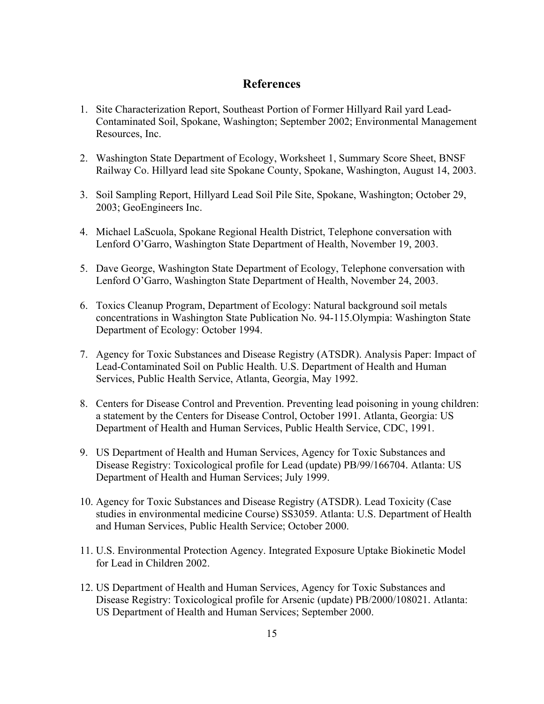## **References**

- 1. Site Characterization Report, Southeast Portion of Former Hillyard Rail yard Lead-Contaminated Soil, Spokane, Washington; September 2002; Environmental Management Resources, Inc.
- 2. Washington State Department of Ecology, Worksheet 1, Summary Score Sheet, BNSF Railway Co. Hillyard lead site Spokane County, Spokane, Washington, August 14, 2003.
- 3. Soil Sampling Report, Hillyard Lead Soil Pile Site, Spokane, Washington; October 29, 2003; GeoEngineers Inc.
- 4. Michael LaScuola, Spokane Regional Health District, Telephone conversation with Lenford O'Garro, Washington State Department of Health, November 19, 2003.
- 5. Dave George, Washington State Department of Ecology, Telephone conversation with Lenford O'Garro, Washington State Department of Health, November 24, 2003.
- 6. Toxics Cleanup Program, Department of Ecology: Natural background soil metals concentrations in Washington State Publication No. 94-115.Olympia: Washington State Department of Ecology: October 1994.
- 7. Agency for Toxic Substances and Disease Registry (ATSDR). Analysis Paper: Impact of Lead-Contaminated Soil on Public Health. U.S. Department of Health and Human Services, Public Health Service, Atlanta, Georgia, May 1992.
- 8. Centers for Disease Control and Prevention. Preventing lead poisoning in young children: a statement by the Centers for Disease Control, October 1991. Atlanta, Georgia: US Department of Health and Human Services, Public Health Service, CDC, 1991.
- 9. US Department of Health and Human Services, Agency for Toxic Substances and Disease Registry: Toxicological profile for Lead (update) PB/99/166704. Atlanta: US Department of Health and Human Services; July 1999.
- 10. Agency for Toxic Substances and Disease Registry (ATSDR). Lead Toxicity (Case studies in environmental medicine Course) SS3059. Atlanta: U.S. Department of Health and Human Services, Public Health Service; October 2000.
- 11. U.S. Environmental Protection Agency. Integrated Exposure Uptake Biokinetic Model for Lead in Children 2002.
- 12. US Department of Health and Human Services, Agency for Toxic Substances and Disease Registry: Toxicological profile for Arsenic (update) PB/2000/108021. Atlanta: US Department of Health and Human Services; September 2000.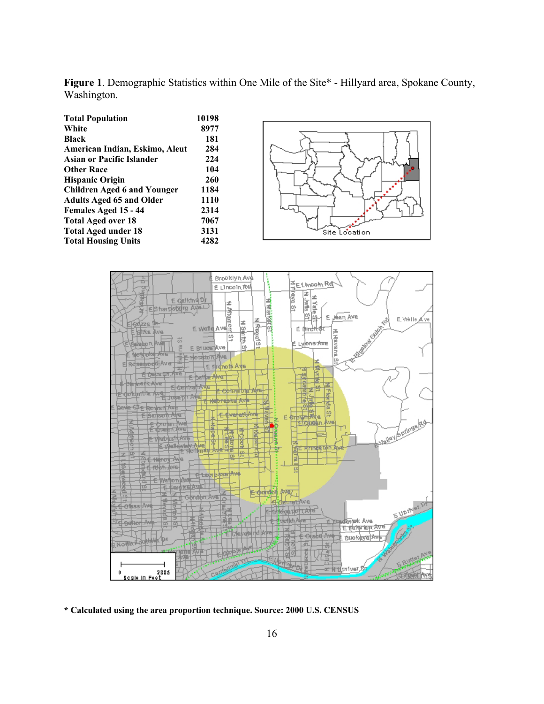**Figure 1**. Demographic Statistics within One Mile of the Site\* - Hillyard area, Spokane County, Washington.

| <b>Total Population</b>            | 10198 |
|------------------------------------|-------|
| White                              | 8977  |
| <b>Black</b>                       | 181   |
| American Indian, Eskimo, Aleut     | 284   |
| Asian or Pacific Islander          | 224   |
| <b>Other Race</b>                  | 104   |
| <b>Hispanic Origin</b>             | 260   |
| <b>Children Aged 6 and Younger</b> | 1184  |
| <b>Adults Aged 65 and Older</b>    | 1110  |
| Females Aged 15 - 44               | 2314  |
| <b>Total Aged over 18</b>          | 7067  |
| <b>Total Aged under 18</b>         | 3131  |
| <b>Total Housing Units</b>         | 4282  |





**\* Calculated using the area proportion technique. Source: 2000 U.S. CENSUS**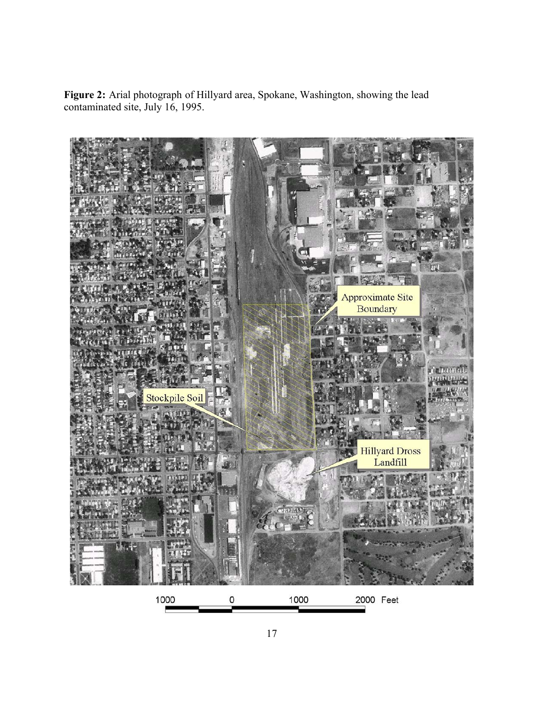**Figure 2:** Arial photograph of Hillyard area, Spokane, Washington, showing the lead contaminated site, July 16, 1995.

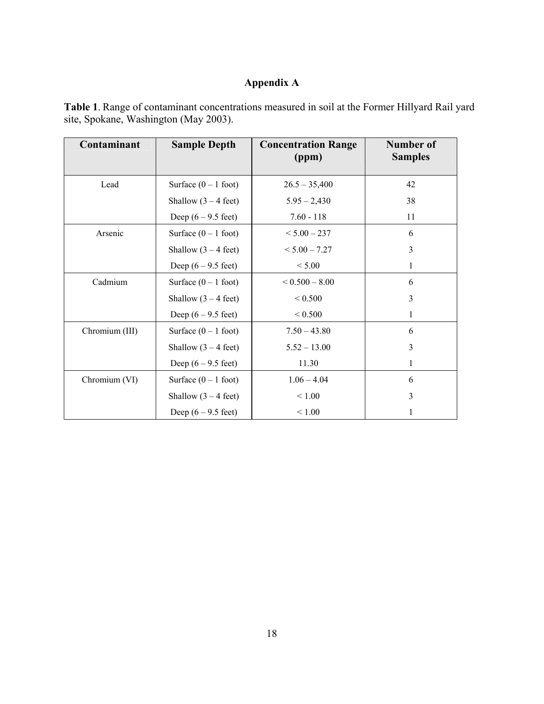## **Appendix A**

| Contaminant    | <b>Sample Depth</b>           | <b>Concentration Range</b><br>(ppm) | Number of<br><b>Samples</b> |
|----------------|-------------------------------|-------------------------------------|-----------------------------|
| Lead           | Surface $(0 - 1$ foot)        | $26.5 - 35,400$                     | 42                          |
|                | Shallow $(3 – 4 feet)$        | $5.95 - 2,430$                      | 38                          |
|                | Deep $(6 - 9.5 \text{ feet})$ | $7.60 - 118$                        | 11                          |
| Arsenic        | Surface $(0 - 1$ foot)        | $< 5.00 - 237$                      | 6                           |
|                | Shallow $(3 – 4 feet)$        | $< 5.00 - 7.27$                     | $\overline{3}$              |
|                | Deep $(6 - 9.5 \text{ feet})$ | < 5.00                              | $\mathbf{1}$                |
| Cadmium        | Surface $(0 - 1$ foot)        | $< 0.500 - 8.00$                    | 6                           |
|                | Shallow $(3 – 4 feet)$        | ${}< 0.500$                         | 3                           |
|                | Deep $(6 - 9.5$ feet)         | ${}< 0.500$                         | 1                           |
| Chromium (III) | Surface $(0 - 1$ foot)        | $7.50 - 43.80$                      | 6                           |
|                | Shallow $(3 – 4 feet)$        | $5.52 - 13.00$                      | $\overline{3}$              |
|                | Deep $(6 - 9.5 \text{ feet})$ | 11.30                               | 1                           |
| Chromium (VI)  | Surface $(0 - 1$ foot)        | $1.06 - 4.04$                       | 6                           |
|                | Shallow $(3 – 4 feet)$        | < 1.00                              | 3                           |
|                | Deep $(6 - 9.5 \text{ feet})$ | ${}_{< 1.00}$                       |                             |

**Table 1**. Range of contaminant concentrations measured in soil at the Former Hillyard Rail yard site, Spokane, Washington (May 2003).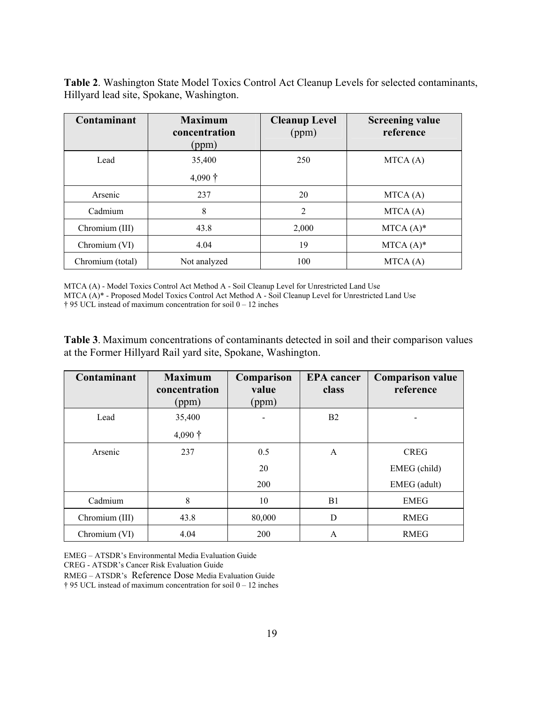**Table 2**. Washington State Model Toxics Control Act Cleanup Levels for selected contaminants, Hillyard lead site, Spokane, Washington.

| Contaminant      | <b>Maximum</b><br>concentration<br>(ppm) | <b>Cleanup Level</b><br>(ppm) | <b>Screening value</b><br>reference |  |
|------------------|------------------------------------------|-------------------------------|-------------------------------------|--|
| Lead             | 35,400<br>$4,090 \dagger$                | 250                           | MTCA(A)                             |  |
| Arsenic          | 237                                      | 20                            | MTCA(A)                             |  |
| Cadmium          | 8                                        | 2                             | MTCA(A)                             |  |
| Chromium (III)   | 43.8                                     | 2,000                         | $MTCA (A)*$                         |  |
| Chromium (VI)    | 4.04                                     | 19                            | $MTCA (A)*$                         |  |
| Chromium (total) | Not analyzed                             | 100                           | MTCA(A)                             |  |

MTCA (A) - Model Toxics Control Act Method A - Soil Cleanup Level for Unrestricted Land Use MTCA (A)\* - Proposed Model Toxics Control Act Method A - Soil Cleanup Level for Unrestricted Land Use † 95 UCL instead of maximum concentration for soil 0 – 12 inches

**Table 3**. Maximum concentrations of contaminants detected in soil and their comparison values at the Former Hillyard Rail yard site, Spokane, Washington.

| Contaminant    | <b>Maximum</b><br>concentration<br>(ppm) | Comparison<br>value<br>(ppm) | <b>EPA</b> cancer<br>class | <b>Comparison value</b><br>reference |
|----------------|------------------------------------------|------------------------------|----------------------------|--------------------------------------|
| Lead           | 35,400                                   |                              | B <sub>2</sub>             |                                      |
|                | $4,090 \dagger$                          |                              |                            |                                      |
| Arsenic        | 237                                      | 0.5                          | A                          | <b>CREG</b>                          |
|                |                                          | 20                           |                            | EMEG (child)                         |
|                |                                          | 200                          |                            | EMEG (adult)                         |
| Cadmium        | 8                                        | 10                           | B1                         | <b>EMEG</b>                          |
| Chromium (III) | 43.8                                     | 80,000                       | D                          | <b>RMEG</b>                          |
| Chromium (VI)  | 4.04                                     | 200                          | $\overline{A}$             | <b>RMEG</b>                          |

EMEG – ATSDR's Environmental Media Evaluation Guide CREG - ATSDR's Cancer Risk Evaluation Guide

RMEG – ATSDR's Reference Dose Media Evaluation Guide † 95 UCL instead of maximum concentration for soil 0 – 12 inches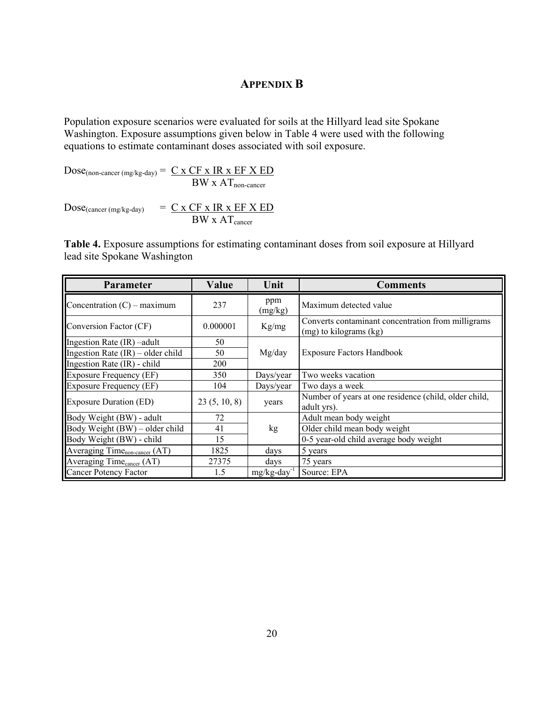## **APPENDIX B**

Population exposure scenarios were evaluated for soils at the Hillyard lead site Spokane Washington. Exposure assumptions given below in Table 4 were used with the following equations to estimate contaminant doses associated with soil exposure.

 $Dose_{(non-cancer (mg/kg-day))} = C \times CF \times IR \times EF \times ED$  $BW \times AT_{non-cancer}$ 

 $Dose_{(cancer (mg/kg-day))} = \underline{C \times CF \times IR \times EF \times ED}$ BW x AT<sub>cancer</sub>

**Table 4.** Exposure assumptions for estimating contaminant doses from soil exposure at Hillyard lead site Spokane Washington

| Parameter                                 | Value        | Unit           | <b>Comments</b>                                                              |  |
|-------------------------------------------|--------------|----------------|------------------------------------------------------------------------------|--|
| Concentration $(C)$ – maximum             | 237          | ppm<br>(mg/kg) | Maximum detected value                                                       |  |
| Conversion Factor (CF)                    | 0.000001     | Kg/mg          | Converts contaminant concentration from milligrams<br>(mg) to kilograms (kg) |  |
| Ingestion Rate (IR) - adult               | 50           |                |                                                                              |  |
| Ingestion Rate $(IR)$ – older child       | 50           | Mg/day         | <b>Exposure Factors Handbook</b>                                             |  |
| Ingestion Rate (IR) - child               | 200          |                |                                                                              |  |
| <b>Exposure Frequency (EF)</b>            | 350          | Days/year      | Two weeks vacation                                                           |  |
| <b>Exposure Frequency (EF)</b>            | 104          | Days/year      | Two days a week                                                              |  |
| <b>Exposure Duration (ED)</b>             | 23(5, 10, 8) | years          | Number of years at one residence (child, older child,<br>adult yrs).         |  |
| Body Weight (BW) - adult                  | 72           |                | Adult mean body weight                                                       |  |
| Body Weight (BW) – older child            | 41           | kg             | Older child mean body weight                                                 |  |
| Body Weight (BW) - child                  | 15           |                | 0-5 year-old child average body weight                                       |  |
| Averaging Time <sub>non-cancer</sub> (AT) | 1825         | days           | 5 years                                                                      |  |
| Averaging Time <sub>cancer</sub> (AT)     | 27375        | days           | 75 years                                                                     |  |
| Cancer Potency Factor                     | 1.5          | $mg/kg$ -day   | Source: EPA                                                                  |  |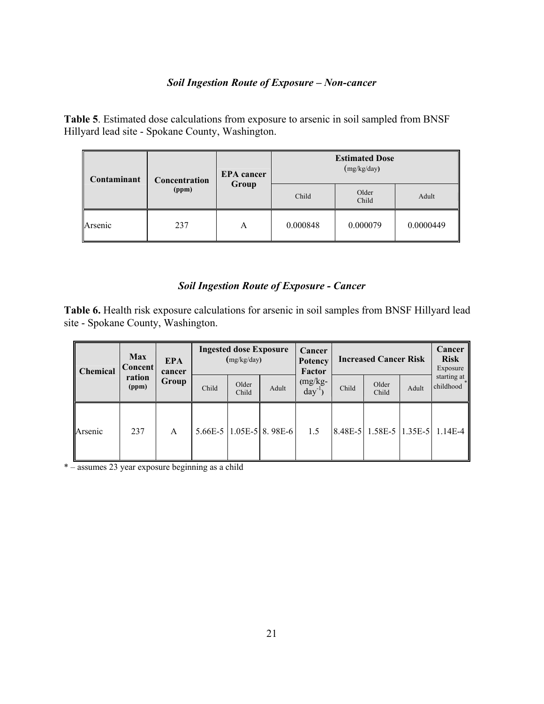#### *Soil Ingestion Route of Exposure – Non-cancer*

**Table 5**. Estimated dose calculations from exposure to arsenic in soil sampled from BNSF Hillyard lead site - Spokane County, Washington.

| Contaminant | Concentration | <b>EPA</b> cancer | <b>Estimated Dose</b><br>(mg/kg/day) |                |           |  |
|-------------|---------------|-------------------|--------------------------------------|----------------|-----------|--|
|             | (ppm)         | Group             | Child                                | Older<br>Child | Adult     |  |
| Arsenic     | 237           | А                 | 0.000848                             | 0.000079       | 0.0000449 |  |

## *Soil Ingestion Route of Exposure - Cancer*

**Table 6.** Health risk exposure calculations for arsenic in soil samples from BNSF Hillyard lead site - Spokane County, Washington.

| Chemical | <b>Max</b><br><b>Concent</b> | <b>EPA</b><br>cancer | <b>Ingested dose Exposure</b><br>(mg/kg/day) |                |                                 | Cancer<br><b>Potency</b><br>Factor | <b>Increased Cancer Risk</b> |                               |       | Cancer<br><b>Risk</b><br>Exposure |
|----------|------------------------------|----------------------|----------------------------------------------|----------------|---------------------------------|------------------------------------|------------------------------|-------------------------------|-------|-----------------------------------|
|          | ration<br>(ppm)              | Group                | Child                                        | Older<br>Child | Adult                           | $(mg/kg -$<br>$day^{-1}$           | Child                        | Older<br>Child                | Adult | starting at<br>childhood          |
| Arsenic  | 237                          | A                    |                                              |                | $5.66E - 5$   1.05E-5   8.98E-6 | 1.5                                |                              | $ 8.48E-5 $ 1.58E-5   1.35E-5 |       | $1.14E - 4$                       |

\* – assumes 23 year exposure beginning as a child